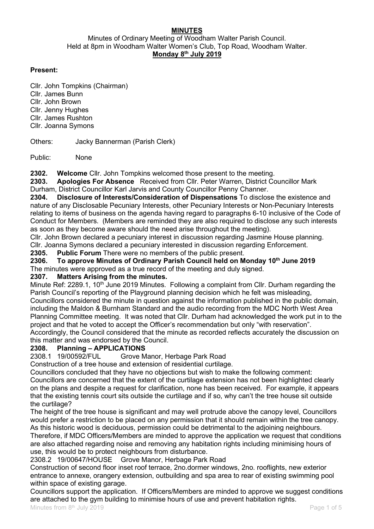## **MINUTES**

Minutes of Ordinary Meeting of Woodham Walter Parish Council. Held at 8pm in Woodham Walter Women's Club, Top Road, Woodham Walter. Monday 8th July 2019

#### Present:

Cllr. John Tompkins (Chairman) Cllr. James Bunn Cllr. John Brown Cllr. Jenny Hughes Cllr. James Rushton Cllr. Joanna Symons

Others: Jacky Bannerman (Parish Clerk)

Public: None

2302. Welcome Cllr. John Tompkins welcomed those present to the meeting.

2303. Apologies For Absence Received from Cllr. Peter Warren, District Councillor Mark Durham, District Councillor Karl Jarvis and County Councillor Penny Channer.

2304. Disclosure of Interests/Consideration of Dispensations To disclose the existence and nature of any Disclosable Pecuniary Interests, other Pecuniary Interests or Non-Pecuniary Interests relating to items of business on the agenda having regard to paragraphs 6-10 inclusive of the Code of Conduct for Members. (Members are reminded they are also required to disclose any such interests as soon as they become aware should the need arise throughout the meeting).

Cllr. John Brown declared a pecuniary interest in discussion regarding Jasmine House planning. Cllr. Joanna Symons declared a pecuniary interested in discussion regarding Enforcement.

2305. Public Forum There were no members of the public present.

2306. To approve Minutes of Ordinary Parish Council held on Monday 10<sup>th</sup> June 2019 The minutes were approved as a true record of the meeting and duly signed.

#### 2307. Matters Arising from the minutes.

Minute Ref: 2289.1, 10<sup>th</sup> June 2019 Minutes. Following a complaint from Cllr. Durham regarding the Parish Council's reporting of the Playground planning decision which he felt was misleading. Councillors considered the minute in question against the information published in the public domain, including the Maldon & Burnham Standard and the audio recording from the MDC North West Area Planning Committee meeting. It was noted that Cllr. Durham had acknowledged the work put in to the project and that he voted to accept the Officer's recommendation but only "with reservation". Accordingly, the Council considered that the minute as recorded reflects accurately the discussion on this matter and was endorsed by the Council.

# 2308. Planning – APPLICATIONS<br>2308.1 19/00592/FUL Grove M

Grove Manor, Herbage Park Road

Construction of a tree house and extension of residential curtilage.

Councillors concluded that they have no objections but wish to make the following comment: Councillors are concerned that the extent of the curtilage extension has not been highlighted clearly on the plans and despite a request for clarification, none has been received. For example, it appears that the existing tennis court sits outside the curtilage and if so, why can't the tree house sit outside the curtilage?

The height of the tree house is significant and may well protrude above the canopy level, Councillors would prefer a restriction to be placed on any permission that it should remain within the tree canopy. As this historic wood is deciduous, permission could be detrimental to the adjoining neighbours.

Therefore, if MDC Officers/Members are minded to approve the application we request that conditions are also attached regarding noise and removing any habitation rights including minimising hours of use, this would be to protect neighbours from disturbance.

2308.2 19/00647/HOUSE Grove Manor, Herbage Park Road

Construction of second floor inset roof terrace, 2no.dormer windows, 2no. rooflights, new exterior entrance to annexe, orangery extension, outbuilding and spa area to rear of existing swimming pool within space of existing garage.

Councillors support the application. If Officers/Members are minded to approve we suggest conditions are attached to the gym building to minimise hours of use and prevent habitation rights.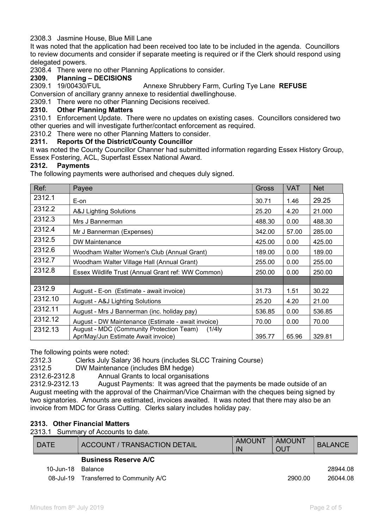#### 2308.3 Jasmine House, Blue Mill Lane

It was noted that the application had been received too late to be included in the agenda. Councillors to review documents and consider if separate meeting is required or if the Clerk should respond using delegated powers.

2308.4 There were no other Planning Applications to consider.

#### 2309. Planning – DECISIONS

2309.1 19/00430/FUL Annexe Shrubbery Farm, Curling Tye Lane REFUSE Conversion of ancillary granny annexe to residential dwellinghouse.

2309.1 There were no other Planning Decisions received.

#### 2310. Other Planning Matters

2310.1 Enforcement Update. There were no updates on existing cases. Councillors considered two other queries and will investigate further/contact enforcement as required.

2310.2 There were no other Planning Matters to consider.

#### 2311. Reports Of the District/County Councillor

It was noted the County Councillor Channer had submitted information regarding Essex History Group, Essex Fostering, ACL, Superfast Essex National Award.

#### 2312. Payments

The following payments were authorised and cheques duly signed.

| Ref:    | Payee                                                                                    | <b>Gross</b> | <b>VAT</b> | <b>Net</b> |
|---------|------------------------------------------------------------------------------------------|--------------|------------|------------|
| 2312.1  | E-on                                                                                     | 30.71        | 1.46       | 29.25      |
| 2312.2  | A&J Lighting Solutions                                                                   | 25.20        | 4.20       | 21.000     |
| 2312.3  | Mrs J Bannerman                                                                          | 488.30       | 0.00       | 488.30     |
| 2312.4  | Mr J Bannerman (Expenses)                                                                | 342.00       | 57.00      | 285.00     |
| 2312.5  | DW Maintenance                                                                           | 425.00       | 0.00       | 425.00     |
| 2312.6  | Woodham Walter Women's Club (Annual Grant)                                               | 189.00       | 0.00       | 189.00     |
| 2312.7  | Woodham Walter Village Hall (Annual Grant)                                               | 255.00       | 0.00       | 255.00     |
| 2312.8  | Essex Wildlife Trust (Annual Grant ref: WW Common)                                       | 250.00       | 0.00       | 250.00     |
|         |                                                                                          |              |            |            |
| 2312.9  | August - E-on (Estimate - await invoice)                                                 | 31.73        | 1.51       | 30.22      |
| 2312.10 | August - A&J Lighting Solutions                                                          | 25.20        | 4.20       | 21.00      |
| 2312.11 | August - Mrs J Bannerman (inc. holiday pay)                                              | 536.85       | 0.00       | 536.85     |
| 2312.12 | August - DW Maintenance (Estimate - await invoice)                                       | 70.00        | 0.00       | 70.00      |
| 2312.13 | August - MDC (Community Protection Team)<br>(1/4)<br>Apr/May/Jun Estimate Await invoice) | 395.77       | 65.96      | 329.81     |

The following points were noted:

2312.3 Clerks July Salary 36 hours (includes SLCC Training Course)

2312.5 DW Maintenance (includes BM hedge)

2312.6-2312.8 Annual Grants to local organisations

2312.9-2312.13 August Payments: It was agreed that the payments be made outside of an August meeting with the approval of the Chairman/Vice Chairman with the cheques being signed by two signatories. Amounts are estimated, invoices awaited. It was noted that there may also be an invoice from MDC for Grass Cutting. Clerks salary includes holiday pay.

#### 2313. Other Financial Matters

2313.1 Summary of Accounts to date.

| <b>DATE</b> | <b>ACCOUNT / TRANSACTION DETAIL</b> | AMOUNT<br>IN | AMOUNT<br>OUT | <b>BALANCE</b> |
|-------------|-------------------------------------|--------------|---------------|----------------|
|             | <b>Business Reserve A/C</b>         |              |               |                |
| 10-Jun-18   | Balance                             |              |               | 28944.08       |
| 08-Jul-19   | Transferred to Community A/C        |              | 2900.00       | 26044.08       |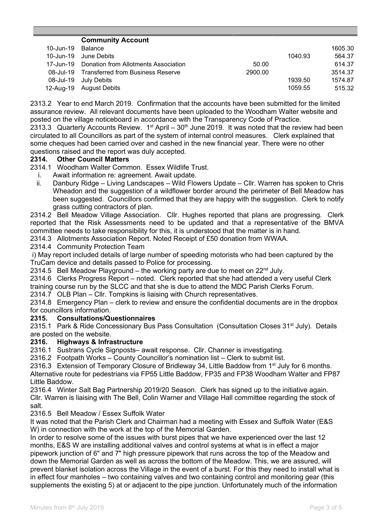|           | <b>Community Account</b>                       |         |         |         |
|-----------|------------------------------------------------|---------|---------|---------|
| 10-Jun-19 | Balance                                        |         |         | 1605.30 |
| 10-Jun-19 | June Debits                                    |         | 1040.93 | 564.37  |
|           | 17-Jun-19 Donation from Allotments Association | 50.00   |         | 614.37  |
|           | 08-Jul-19 Transferred from Business Reserve    | 2900.00 |         | 3514.37 |
| 08-Jul-19 | July Debits                                    |         | 1939.50 | 1574.87 |
| 12-Aug-19 | <b>August Debits</b>                           |         | 1059.55 | 515.32  |

2313.2 Year to end March 2019. Confirmation that the accounts have been submitted for the limited assurance review. All relevant documents have been uploaded to the Woodham Walter website and posted on the village noticeboard in accordance with the Transparency Code of Practice. 2313.3 Quarterly Accounts Review.  $1<sup>st</sup>$  April – 30<sup>th</sup> June 2019. It was noted that the review had been circulated to all Councillors as part of the system of internal control measures. Clerk explained that some cheques had been carried over and cashed in the new financial year. There were no other questions raised and the report was duly accepted.

#### 2314. Other Council Matters

2314.1 Woodham Walter Common. Essex Wildlife Trust.

- i. Await information re: agreement. Await update.
- ii. Danbury Ridge Living Landscapes Wild Flowers Update Cllr. Warren has spoken to Chris Wheadon and the suggestion of a wildflower border around the perimeter of Bell Meadow has been suggested. Councillors confirmed that they are happy with the suggestion. Clerk to notify grass cutting contractors of plan.

2314.2 Bell Meadow Village Association. Cllr. Hughes reported that plans are progressing. Clerk reported that the Risk Assessments need to be updated and that a representative of the BMVA committee needs to take responsibility for this, it is understood that the matter is in hand.

2314.3 Allotments Association Report. Noted Receipt of £50 donation from WWAA.

2314.4 Community Protection Team

 i) May report included details of large number of speeding motorists who had been captured by the TruCam device and details passed to Police for processing.

2314.5 Bell Meadow Playground – the working party are due to meet on  $22^{nd}$  July.

2314.6 Clerks Progress Report – noted. Clerk reported that she had attended a very useful Clerk

training course run by the SLCC and that she is due to attend the MDC Parish Clerks Forum.

2314.7 OLB Plan – Cllr. Tompkins is liaising with Church representatives.

2314.8 Emergency Plan – clerk to review and ensure the confidential documents are in the dropbox for councillors information.

#### 2315. Consultations/Questionnaires

2315.1 Park & Ride Concessionary Bus Pass Consultation (Consultation Closes 31<sup>st</sup> July). Details are posted on the website.

### 2316. Highways & Infrastructure

2316.1 Sustrans Cycle Signposts– await response. Cllr. Channer is investigating.

2316.2 Footpath Works – County Councillor's nomination list – Clerk to submit list.

2316.3 Extension of Temporary Closure of Bridleway 34, Little Baddow from 1<sup>st</sup> July for 6 months.

Alternative route for pedestrians via FP55 Little Baddow, FP35 and FP38 Woodham Walter and FP87 Little Baddow.

2316.4 Winter Salt Bag Partnership 2019/20 Season. Clerk has signed up to the initiative again. Cllr. Warren is liaising with The Bell, Colin Warner and Village Hall committee regarding the stock of salt.

2316.5 Bell Meadow / Essex Suffolk Water

It was noted that the Parish Clerk and Chairman had a meeting with Essex and Suffolk Water (E&S W) in connection with the work at the top of the Memorial Garden.

In order to resolve some of the issues with burst pipes that we have experienced over the last 12 months, E&S W are installing additional valves and control systems at what is in effect a major pipework junction of 6" and 7" high pressure pipework that runs across the top of the Meadow and down the Memorial Garden as well as across the bottom of the Meadow. This, we are assured, will prevent blanket isolation across the Village in the event of a burst. For this they need to install what is in effect four manholes – two containing valves and two containing control and monitoring gear (this supplements the existing 5) at or adjacent to the pipe junction. Unfortunately much of the information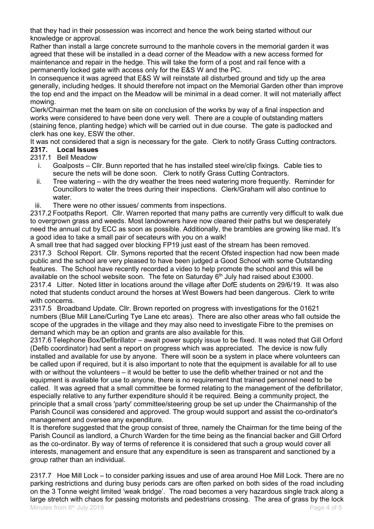that they had in their possession was incorrect and hence the work being started without our knowledge or approval.

Rather than install a large concrete surround to the manhole covers in the memorial garden it was agreed that these will be installed in a dead corner of the Meadow with a new access formed for maintenance and repair in the hedge. This will take the form of a post and rail fence with a permanently locked gate with access only for the E&S W and the PC.

In consequence it was agreed that E&S W will reinstate all disturbed ground and tidy up the area generally, including hedges. It should therefore not impact on the Memorial Garden other than improve the top end and the impact on the Meadow will be minimal in a dead corner. It will not materially affect mowing.

Clerk/Chairman met the team on site on conclusion of the works by way of a final inspection and works were considered to have been done very well. There are a couple of outstanding matters (staining fence, planting hedge) which will be carried out in due course. The gate is padlocked and clerk has one key, ESW the other.

It was not considered that a sign is necessary for the gate. Clerk to notify Grass Cutting contractors.

## 2317. Local Issues

2317.1 Bell Meadow

- i. Goalposts Cllr. Bunn reported that he has installed steel wire/clip fixings. Cable ties to secure the nets will be done soon. Clerk to notify Grass Cutting Contractors.
- ii. Tree watering with the dry weather the trees need watering more frequently. Reminder for Councillors to water the trees during their inspections. Clerk/Graham will also continue to water
- iii. There were no other issues/ comments from inspections.

2317.2 Footpaths Report. Cllr. Warren reported that many paths are currently very difficult to walk due to overgrown grass and weeds. Most landowners have now cleared their paths but we desperately need the annual cut by ECC as soon as possible. Additionally, the brambles are growing like mad. It's a good idea to take a small pair of secateurs with you on a walk!

A small tree that had sagged over blocking FP19 just east of the stream has been removed. 2317.3 School Report. Cllr. Symons reported that the recent Ofsted inspection had now been made public and the school are very pleased to have been judged a Good School with some Outstanding features. The School have recently recorded a video to help promote the school and this will be available on the school website soon. The fete on Saturday  $6<sup>th</sup>$  July had raised about £3000. 2317.4 Litter. Noted litter in locations around the village after DofE students on 29/6/19. It was also noted that students conduct around the horses at West Bowers had been dangerous. Clerk to write with concerns.

2317.5 Broadband Update. Cllr. Brown reported on progress with investigations for the 01621 numbers (Blue Mill Lane/Curling Tye Lane etc areas). There are also other areas who fall outside the scope of the upgrades in the village and they may also need to investigate Fibre to the premises on demand which may be an option and grants are also available for this.

2317.6 Telephone Box/Defibrillator – await power supply issue to be fixed. It was noted that Gill Orford (Defib coordinator) had sent a report on progress which was appreciated. The device is now fully installed and available for use by anyone. There will soon be a system in place where volunteers can be called upon if required, but it is also important to note that the equipment is available for all to use with or without the volunteers – it would be better to use the defib whether trained or not and the equipment is available for use to anyone, there is no requirement that trained personnel need to be called. It was agreed that a small committee be formed relating to the management of the defibrillator, especially relative to any further expenditure should it be required. Being a community project, the principle that a small cross 'party' committee/steering group be set up under the Chairmanship of the Parish Council was considered and approved. The group would support and assist the co-ordinator's management and oversee any expenditure.

It is therefore suggested that the group consist of three, namely the Chairman for the time being of the Parish Council as landlord, a Church Warden for the time being as the financial backer and Gill Orford as the co-ordinator. By way of terms of reference it is considered that such a group would cover all interests, management and ensure that any expenditure is seen as transparent and sanctioned by a group rather than an individual.

Minutes from  $8<sup>th</sup>$  July 2019 **Page 4 of 5 Page 4 of 5** 2317.7 Hoe Mill Lock – to consider parking issues and use of area around Hoe Mill Lock. There are no parking restrictions and during busy periods cars are often parked on both sides of the road including on the 3 Tonne weight limited 'weak bridge'. The road becomes a very hazardous single track along a large stretch with chaos for passing motorists and pedestrians crossing. The area of grass by the lock